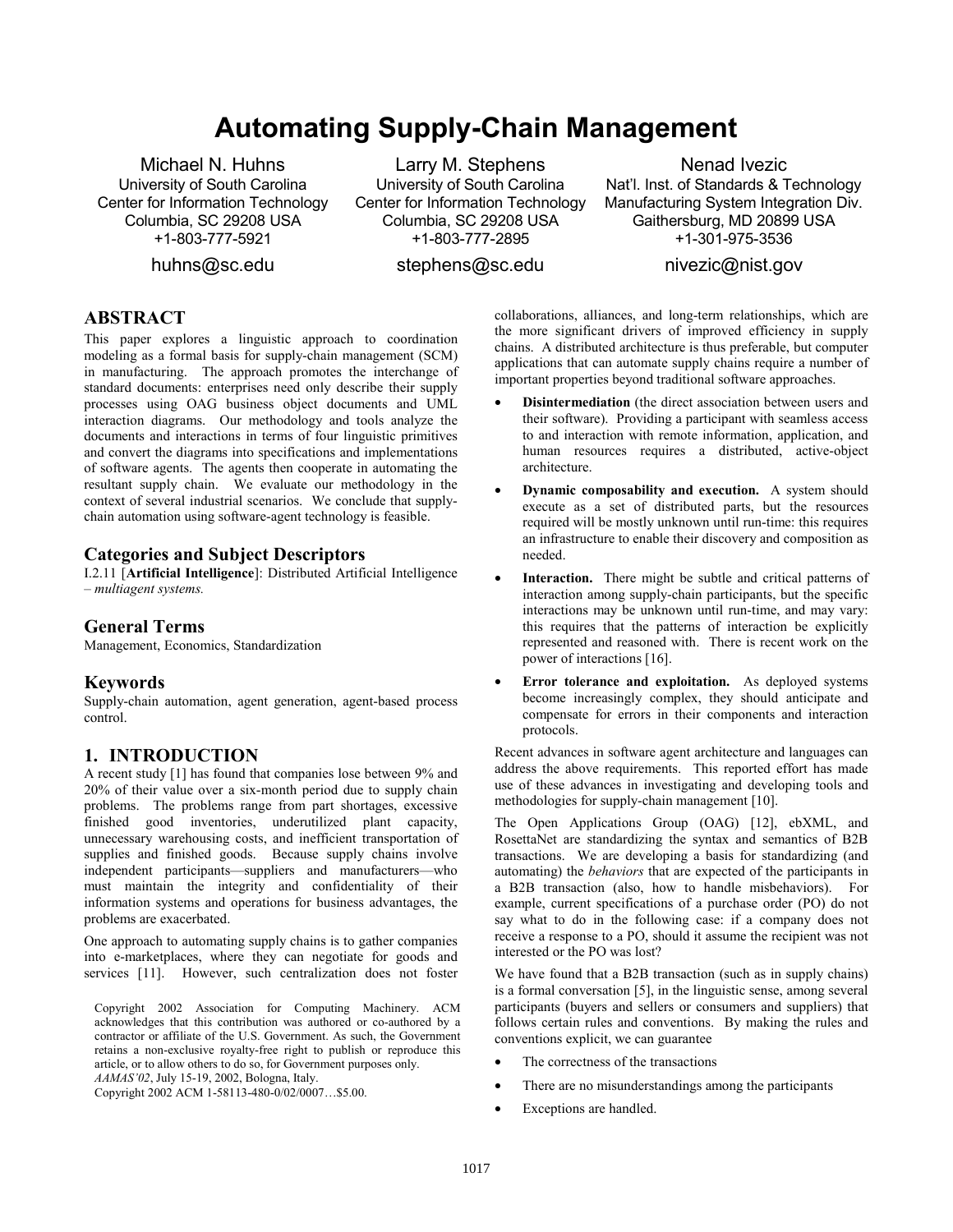# **Automating Supply-Chain Management**

Michael N. Huhns University of South Carolina Center for Information Technology Columbia, SC 29208 USA  $+1 - 803 - 777 - 5921$ 

huhns@sc.edu

Larry M. Stephens University of South Carolina Center for Information Technology Columbia, SC 29208 USA +1-803-777-2895

stephens@sc.edu

Nenad Ivezic Nat'l. Inst. of Standards & Technology Manufacturing System Integration Div. Gaithersburg, MD 20899 USA  $+1 - 301 - 975 - 3536$ 

nivezic@nist.gov

# **ABSTRACT**

This paper explores a linguistic approach to coordination modeling as a formal basis for supply-chain management (SCM) in manufacturing. The approach promotes the interchange of standard documents: enterprises need only describe their supply processes using OAG business object documents and UML interaction diagrams. Our methodology and tools analyze the documents and interactions in terms of four linguistic primitives and convert the diagrams into specifications and implementations of software agents. The agents then cooperate in automating the resultant supply chain. We evaluate our methodology in the context of several industrial scenarios. We conclude that supplychain automation using software-agent technology is feasible.

#### **Categories and Subject Descriptors**

I.2.11 [**Artificial Intelligence**]: Distributed Artificial Intelligence – *multiagent systems.* 

#### **General Terms**

Management, Economics, Standardization

#### **Keywords**

Supply-chain automation, agent generation, agent-based process control.

#### **1. INTRODUCTION**

A recent study [1] has found that companies lose between 9% and 20% of their value over a six-month period due to supply chain problems. The problems range from part shortages, excessive finished good inventories, underutilized plant capacity, unnecessary warehousing costs, and inefficient transportation of supplies and finished goods. Because supply chains involve independent participants—suppliers and manufacturers—who must maintain the integrity and confidentiality of their information systems and operations for business advantages, the problems are exacerbated.

One approach to automating supply chains is to gather companies into e-marketplaces, where they can negotiate for goods and services [11]. However, such centralization does not foster

Copyright 2002 Association for Computing Machinery. ACM acknowledges that this contribution was authored or co-authored by a contractor or affiliate of the U.S. Government. As such, the Government retains a non-exclusive royalty-free right to publish or reproduce this article, or to allow others to do so, for Government purposes only. *AAMAS'02*, July 15-19, 2002, Bologna, Italy.

Copyright 2002 ACM 1-58113-480-0/02/0007…\$5.00.

collaborations, alliances, and long-term relationships, which are the more significant drivers of improved efficiency in supply chains. A distributed architecture is thus preferable, but computer applications that can automate supply chains require a number of important properties beyond traditional software approaches.

- **Disintermediation** (the direct association between users and their software). Providing a participant with seamless access to and interaction with remote information, application, and human resources requires a distributed, active-object architecture.
- **Dynamic composability and execution.** A system should execute as a set of distributed parts, but the resources required will be mostly unknown until run-time: this requires an infrastructure to enable their discovery and composition as needed.
- **Interaction.** There might be subtle and critical patterns of interaction among supply-chain participants, but the specific interactions may be unknown until run-time, and may vary: this requires that the patterns of interaction be explicitly represented and reasoned with. There is recent work on the power of interactions [16].
- **Error tolerance and exploitation.** As deployed systems become increasingly complex, they should anticipate and compensate for errors in their components and interaction protocols.

Recent advances in software agent architecture and languages can address the above requirements. This reported effort has made use of these advances in investigating and developing tools and methodologies for supply-chain management [10].

The Open Applications Group (OAG) [12], ebXML, and RosettaNet are standardizing the syntax and semantics of B2B transactions. We are developing a basis for standardizing (and automating) the *behaviors* that are expected of the participants in a B2B transaction (also, how to handle misbehaviors). For example, current specifications of a purchase order (PO) do not say what to do in the following case: if a company does not receive a response to a PO, should it assume the recipient was not interested or the PO was lost?

We have found that a B2B transaction (such as in supply chains) is a formal conversation [5], in the linguistic sense, among several participants (buyers and sellers or consumers and suppliers) that follows certain rules and conventions. By making the rules and conventions explicit, we can guarantee

- The correctness of the transactions
- There are no misunderstandings among the participants
- Exceptions are handled.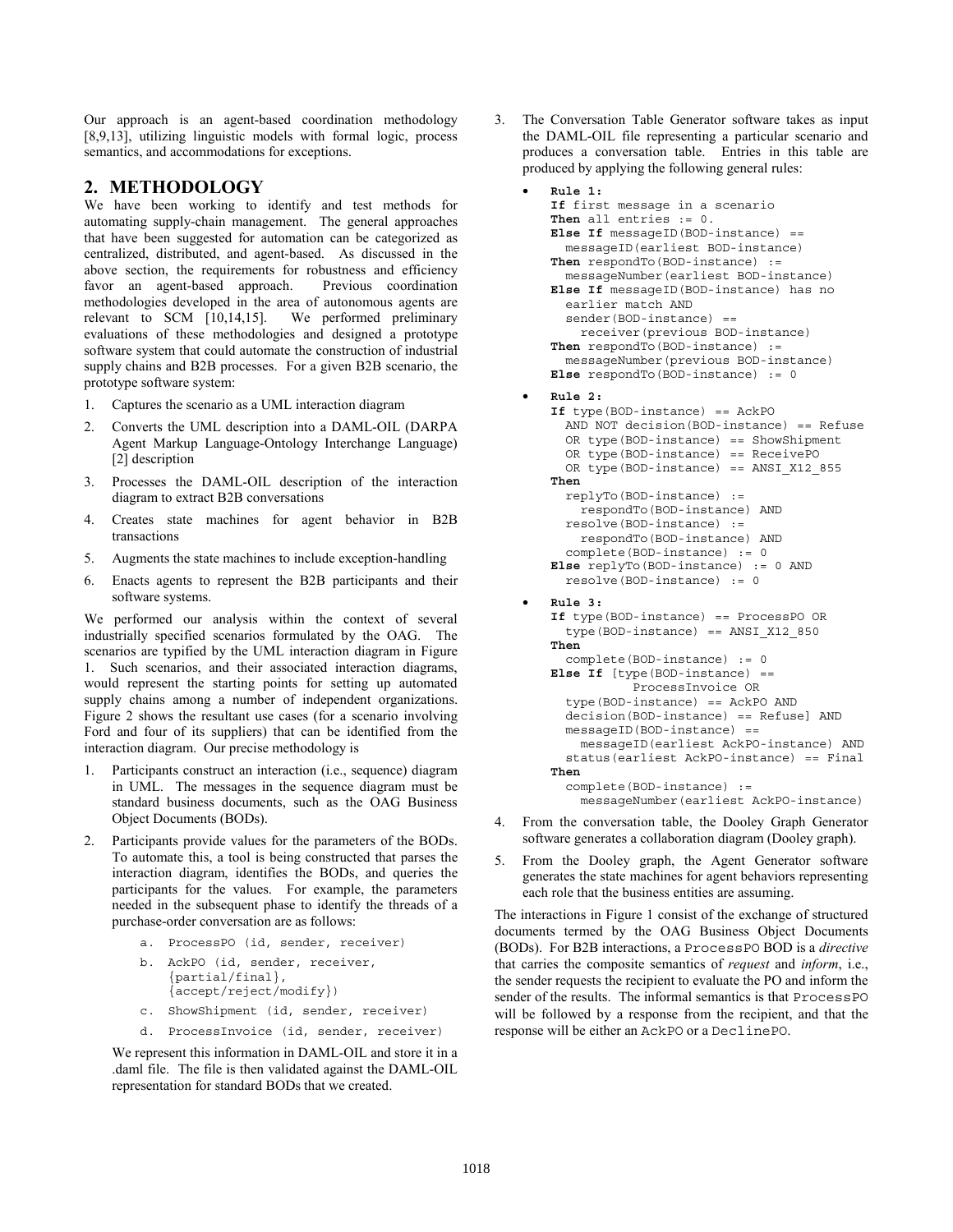Our approach is an agent-based coordination methodology [8,9,13], utilizing linguistic models with formal logic, process semantics, and accommodations for exceptions.

## **2. METHODOLOGY**

We have been working to identify and test methods for automating supply-chain management. The general approaches that have been suggested for automation can be categorized as centralized, distributed, and agent-based. As discussed in the above section, the requirements for robustness and efficiency favor an agent-based approach. Previous coordination methodologies developed in the area of autonomous agents are relevant to SCM [10,14,15]. We performed preliminary evaluations of these methodologies and designed a prototype software system that could automate the construction of industrial supply chains and B2B processes. For a given B2B scenario, the prototype software system:

- 1. Captures the scenario as a UML interaction diagram
- 2. Converts the UML description into a DAML-OIL (DARPA Agent Markup Language-Ontology Interchange Language) [2] description
- 3. Processes the DAML-OIL description of the interaction diagram to extract B2B conversations
- 4. Creates state machines for agent behavior in B2B transactions
- 5. Augments the state machines to include exception-handling
- 6. Enacts agents to represent the B2B participants and their software systems.

We performed our analysis within the context of several industrially specified scenarios formulated by the OAG. The scenarios are typified by the UML interaction diagram in Figure 1. Such scenarios, and their associated interaction diagrams, would represent the starting points for setting up automated supply chains among a number of independent organizations. Figure 2 shows the resultant use cases (for a scenario involving Ford and four of its suppliers) that can be identified from the interaction diagram. Our precise methodology is

- 1. Participants construct an interaction (i.e., sequence) diagram in UML. The messages in the sequence diagram must be standard business documents, such as the OAG Business Object Documents (BODs).
- Participants provide values for the parameters of the BODs. To automate this, a tool is being constructed that parses the interaction diagram, identifies the BODs, and queries the participants for the values. For example, the parameters needed in the subsequent phase to identify the threads of a purchase-order conversation are as follows:
	- a. ProcessPO (id, sender, receiver)
	- b. AckPO (id, sender, receiver, {partial/final}, {accept/reject/modify})
	- c. ShowShipment (id, sender, receiver)
	- d. ProcessInvoice (id, sender, receiver)

We represent this information in DAML-OIL and store it in a .daml file. The file is then validated against the DAML-OIL representation for standard BODs that we created.

3. The Conversation Table Generator software takes as input the DAML-OIL file representing a particular scenario and produces a conversation table. Entries in this table are produced by applying the following general rules:

```
• Rule 1:
If first message in a scenario 
Then all entries := 0. 
Else If messageID(BOD-instance) == 
   messageID(earliest BOD-instance) 
Then respondTo(BOD-instance) := 
  messageNumber(earliest BOD-instance) 
Else If messageID(BOD-instance) has no 
   earlier match AND 
   sender(BOD-instance) == 
     receiver(previous BOD-instance) 
Then respondTo(BOD-instance) := 
   messageNumber(previous BOD-instance) 
Else respondTo(BOD-instance) := 0 
• Rule 2:
```

```
If type(BOD-instance) == AckPO 
   AND NOT decision(BOD-instance) == Refuse 
   OR type(BOD-instance) == ShowShipment 
   OR type(BOD-instance) == ReceivePO 
   OR type(BOD-instance) == ANSI_X12_855 
Then
   replyTo(BOD-instance) := 
     respondTo(BOD-instance) AND 
   resolve(BOD-instance) := 
     respondTo(BOD-instance) AND 
   complete(BOD-instance) := 0 
Else replyTo(BOD-instance) := 0 AND 
   resolve(BOD-instance) := 0 
• Rule 3:
If type(BOD-instance) == ProcessPO OR 
   type(BOD-instance) == ANSI_X12_850 
Then
   complete(BOD-instance) := 0 
Else If [type(BOD-instance) == 
            ProcessInvoice OR 
   type(BOD-instance) == AckPO AND 
   decision(BOD-instance) == Refuse] AND 
   messageID(BOD-instance) == 
     messageID(earliest AckPO-instance) AND 
   status(earliest AckPO-instance) == Final 
Then
   complete(BOD-instance) := 
     messageNumber(earliest AckPO-instance)
```
- 4. From the conversation table, the Dooley Graph Generator software generates a collaboration diagram (Dooley graph).
- 5. From the Dooley graph, the Agent Generator software generates the state machines for agent behaviors representing each role that the business entities are assuming.

The interactions in Figure 1 consist of the exchange of structured documents termed by the OAG Business Object Documents (BODs). For B2B interactions, a ProcessPO BOD is a *directive* that carries the composite semantics of *request* and *inform*, i.e., the sender requests the recipient to evaluate the PO and inform the sender of the results. The informal semantics is that ProcessPO will be followed by a response from the recipient, and that the response will be either an AckPO or a DeclinePO.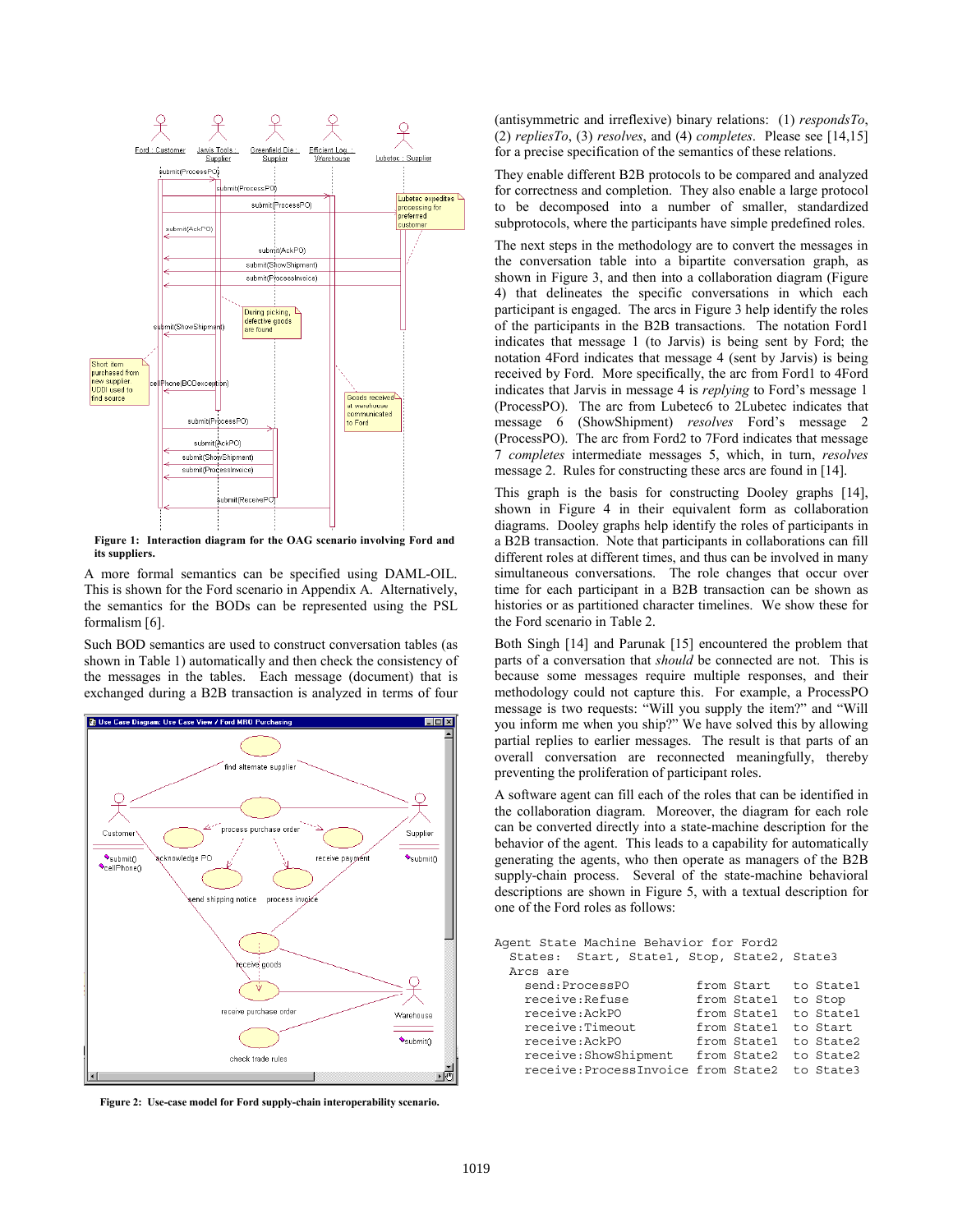

**Figure 1: Interaction diagram for the OAG scenario involving Ford and its suppliers.** 

A more formal semantics can be specified using DAML-OIL. This is shown for the Ford scenario in Appendix A. Alternatively, the semantics for the BODs can be represented using the PSL formalism [6].

Such BOD semantics are used to construct conversation tables (as shown in Table 1) automatically and then check the consistency of the messages in the tables. Each message (document) that is exchanged during a B2B transaction is analyzed in terms of four



**Figure 2: Use-case model for Ford supply-chain interoperability scenario.** 

(antisymmetric and irreflexive) binary relations: (1) *respondsTo*, (2) *repliesTo*, (3) *resolves*, and (4) *completes*. Please see [14,15] for a precise specification of the semantics of these relations.

They enable different B2B protocols to be compared and analyzed for correctness and completion. They also enable a large protocol to be decomposed into a number of smaller, standardized subprotocols, where the participants have simple predefined roles.

The next steps in the methodology are to convert the messages in the conversation table into a bipartite conversation graph, as shown in Figure 3, and then into a collaboration diagram (Figure 4) that delineates the specific conversations in which each participant is engaged. The arcs in Figure 3 help identify the roles of the participants in the B2B transactions. The notation Ford1 indicates that message 1 (to Jarvis) is being sent by Ford; the notation 4Ford indicates that message 4 (sent by Jarvis) is being received by Ford. More specifically, the arc from Ford1 to 4Ford indicates that Jarvis in message 4 is *replying* to Ford's message 1 (ProcessPO). The arc from Lubetec6 to 2Lubetec indicates that message 6 (ShowShipment) *resolves* Ford's message 2 (ProcessPO). The arc from Ford2 to 7Ford indicates that message 7 *completes* intermediate messages 5, which, in turn, *resolves* message 2. Rules for constructing these arcs are found in [14].

This graph is the basis for constructing Dooley graphs [14], shown in Figure 4 in their equivalent form as collaboration diagrams. Dooley graphs help identify the roles of participants in a B2B transaction. Note that participants in collaborations can fill different roles at different times, and thus can be involved in many simultaneous conversations. The role changes that occur over time for each participant in a B2B transaction can be shown as histories or as partitioned character timelines. We show these for the Ford scenario in Table 2.

Both Singh [14] and Parunak [15] encountered the problem that parts of a conversation that *should* be connected are not. This is because some messages require multiple responses, and their methodology could not capture this. For example, a ProcessPO message is two requests: "Will you supply the item?" and "Will you inform me when you ship?" We have solved this by allowing partial replies to earlier messages. The result is that parts of an overall conversation are reconnected meaningfully, thereby preventing the proliferation of participant roles.

A software agent can fill each of the roles that can be identified in the collaboration diagram. Moreover, the diagram for each role can be converted directly into a state-machine description for the behavior of the agent. This leads to a capability for automatically generating the agents, who then operate as managers of the B2B supply-chain process. Several of the state-machine behavioral descriptions are shown in Figure 5, with a textual description for one of the Ford roles as follows:

| Agent State Machine Behavior for Ford2      |             |           |  |  |  |  |
|---------------------------------------------|-------------|-----------|--|--|--|--|
| States: Start, State1, Stop, State2, State3 |             |           |  |  |  |  |
| Arcs are                                    |             |           |  |  |  |  |
| send: ProcessPO                             | from Start  | to State1 |  |  |  |  |
| receive: Refuse                             | from Statel | to Stop   |  |  |  |  |
| receive:AckPO                               | from State1 | to State1 |  |  |  |  |
| receive: Timeout                            | from State1 | to Start  |  |  |  |  |
| receive:AckPO                               | from Statel | to State2 |  |  |  |  |
| receive: ShowShipment                       | from State2 | to State2 |  |  |  |  |
| receive: ProcessInvoice from State2         |             | to State3 |  |  |  |  |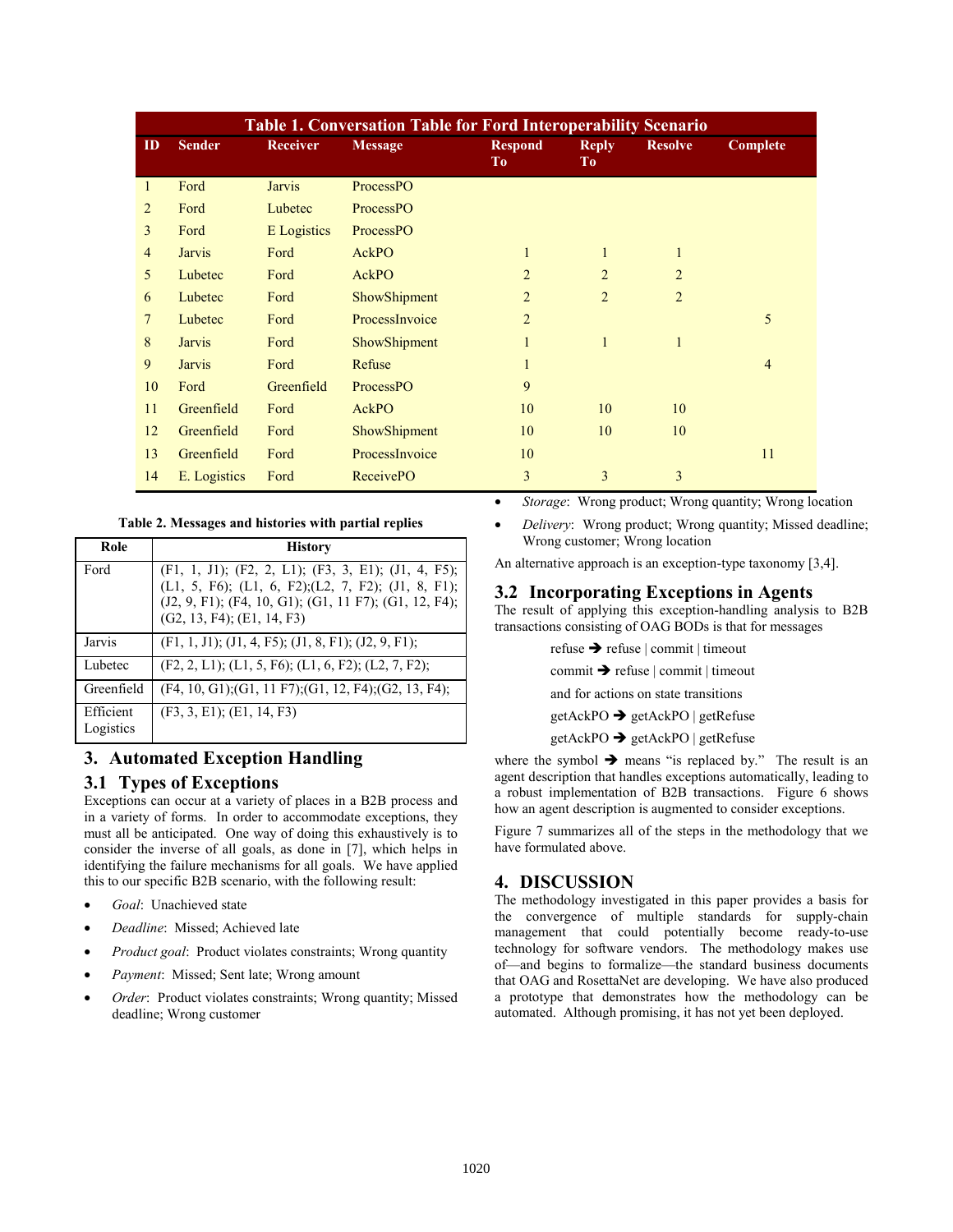| <b>Table 1. Conversation Table for Ford Interoperability Scenario</b> |               |                 |                  |                      |                                |                |                |
|-----------------------------------------------------------------------|---------------|-----------------|------------------|----------------------|--------------------------------|----------------|----------------|
| $\mathbf{D}$                                                          | <b>Sender</b> | <b>Receiver</b> | <b>Message</b>   | <b>Respond</b><br>To | <b>Reply</b><br>T <sub>o</sub> | <b>Resolve</b> | Complete       |
| 1                                                                     | Ford          | <b>Jarvis</b>   | ProcessPO        |                      |                                |                |                |
| $\overline{2}$                                                        | Ford          | Lubetec         | ProcessPO        |                      |                                |                |                |
| 3                                                                     | Ford          | E Logistics     | ProcessPO        |                      |                                |                |                |
| $\overline{4}$                                                        | <b>Jarvis</b> | Ford            | AckPO            | 1                    | $\mathbf{1}$                   | $\mathbf{1}$   |                |
| 5                                                                     | Lubetec       | Ford            | AckPO            | $\overline{2}$       | $\overline{2}$                 | $\overline{2}$ |                |
| 6                                                                     | Lubetec       | Ford            | ShowShipment     | $\overline{2}$       | $\overline{2}$                 | $\overline{2}$ |                |
| 7                                                                     | Lubetec       | Ford            | ProcessInvoice   | $\overline{2}$       |                                |                | 5              |
| 8                                                                     | <b>Jarvis</b> | Ford            | ShowShipment     |                      | $\mathbf{1}$                   | $\mathbf{1}$   |                |
| 9                                                                     | <b>Jarvis</b> | Ford            | Refuse           | 1                    |                                |                | $\overline{4}$ |
| 10                                                                    | Ford          | Greenfield      | ProcessPO        | 9                    |                                |                |                |
| 11                                                                    | Greenfield    | Ford            | AckPO            | 10                   | 10                             | 10             |                |
| 12                                                                    | Greenfield    | Ford            | ShowShipment     | 10                   | 10                             | 10             |                |
| 13                                                                    | Greenfield    | Ford            | ProcessInvoice   | 10                   |                                |                | 11             |
| 14                                                                    | E. Logistics  | Ford            | <b>ReceivePO</b> | 3                    | 3                              | 3              |                |

#### **Table 2. Messages and histories with partial replies**

| Role                   | <b>History</b>                                                                                                                                                                                                   |
|------------------------|------------------------------------------------------------------------------------------------------------------------------------------------------------------------------------------------------------------|
| Ford                   | $(F1, 1, J1); (F2, 2, L1); (F3, 3, E1); (J1, 4, F5);$<br>$(L1, 5, F6);$ $(L1, 6, F2);$ $(L2, 7, F2);$ $(J1, 8, F1);$<br>(J2, 9, F1); (F4, 10, G1); (G1, 11 F7); (G1, 12, F4);<br>$(G2, 13, F4)$ ; $(E1, 14, F3)$ |
| Jarvis                 | $(F1, 1, J1); (J1, 4, F5); (J1, 8, F1); (J2, 9, F1);$                                                                                                                                                            |
| Lubetec                | $(F2, 2, L1);$ $(L1, 5, F6);$ $(L1, 6, F2);$ $(L2, 7, F2);$                                                                                                                                                      |
| Greenfield             | $(F4, 10, G1); (G1, 11 F7); (G1, 12, F4); (G2, 13, F4);$                                                                                                                                                         |
| Efficient<br>Logistics | (F3, 3, E1); (E1, 14, F3)                                                                                                                                                                                        |

## **3. Automated Exception Handling**

## **3.1 Types of Exceptions**

Exceptions can occur at a variety of places in a B2B process and in a variety of forms. In order to accommodate exceptions, they must all be anticipated. One way of doing this exhaustively is to consider the inverse of all goals, as done in [7], which helps in identifying the failure mechanisms for all goals. We have applied this to our specific B2B scenario, with the following result:

- *Goal*: Unachieved state
- *Deadline*: Missed; Achieved late
- *Product goal*: Product violates constraints; Wrong quantity
- *Payment*: Missed; Sent late; Wrong amount
- *Order*: Product violates constraints; Wrong quantity; Missed deadline; Wrong customer
- *Storage*: Wrong product; Wrong quantity; Wrong location
- *Delivery*: Wrong product; Wrong quantity; Missed deadline; Wrong customer; Wrong location

An alternative approach is an exception-type taxonomy [3,4].

#### **3.2 Incorporating Exceptions in Agents**

The result of applying this exception-handling analysis to B2B transactions consisting of OAG BODs is that for messages

> refuse  $\rightarrow$  refuse | commit | timeout  $commit \rightarrow$  refuse | commit | timeout

and for actions on state transitions

 $getAcknowled\rightharpoonup getAckPO | getRefuse$ 

 $getAcknowled\rightharpoonup getAckPO | getRefuse$ 

where the symbol  $\rightarrow$  means "is replaced by." The result is an agent description that handles exceptions automatically, leading to a robust implementation of B2B transactions. Figure 6 shows how an agent description is augmented to consider exceptions.

Figure 7 summarizes all of the steps in the methodology that we have formulated above.

## **4. DISCUSSION**

The methodology investigated in this paper provides a basis for the convergence of multiple standards for supply-chain management that could potentially become ready-to-use technology for software vendors. The methodology makes use of—and begins to formalize—the standard business documents that OAG and RosettaNet are developing. We have also produced a prototype that demonstrates how the methodology can be automated. Although promising, it has not yet been deployed.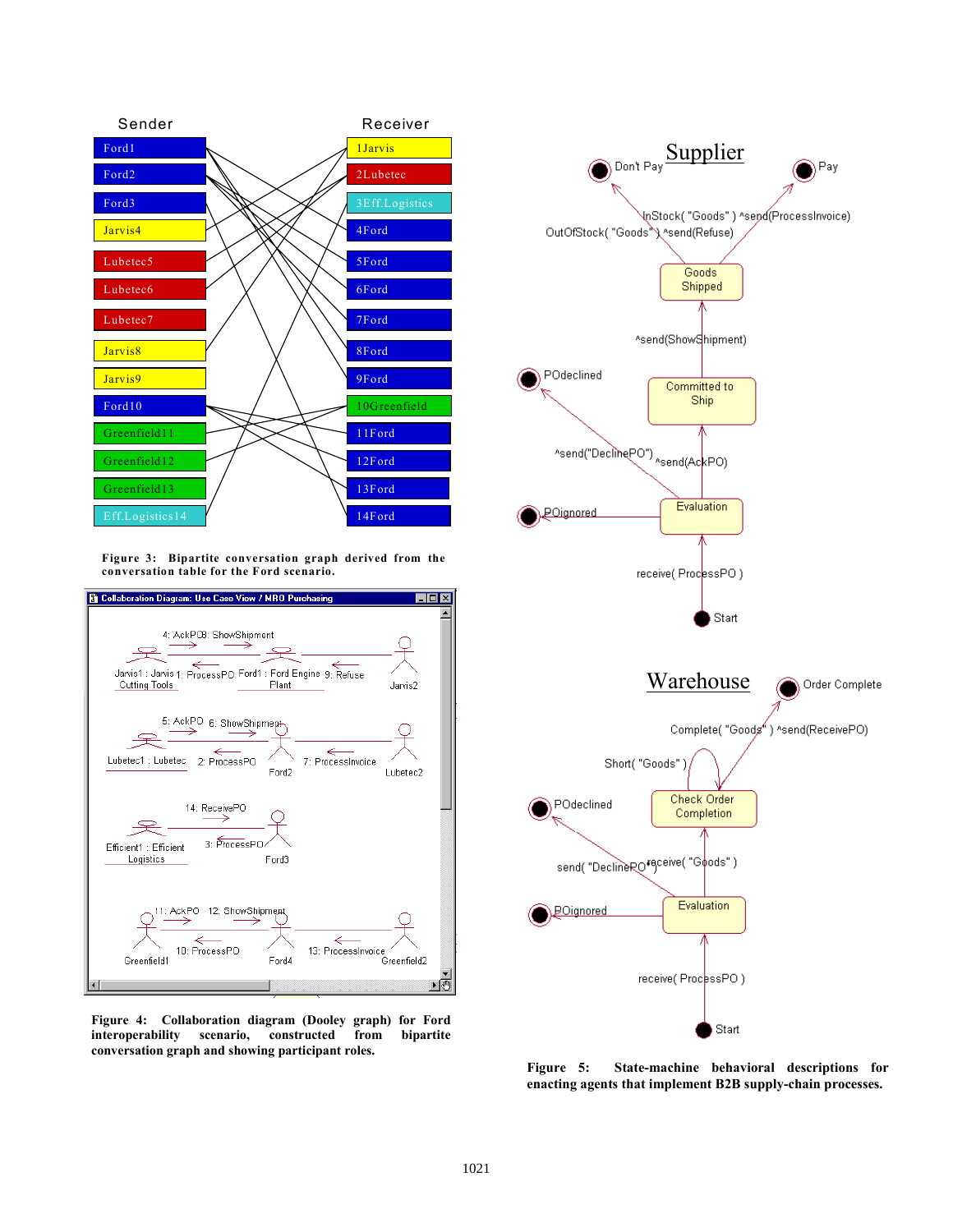

**Figure 3: Bipartite conversation graph derived from the conversation table for the Ford scenario.** 



**Figure 4: Collaboration diagram (Dooley graph) for Ford interoperability scenario, constructed from bipartite conversation graph and showing participant roles.** 



**Figure 5: State-machine behavioral descriptions for enacting agents that implement B2B supply-chain processes.**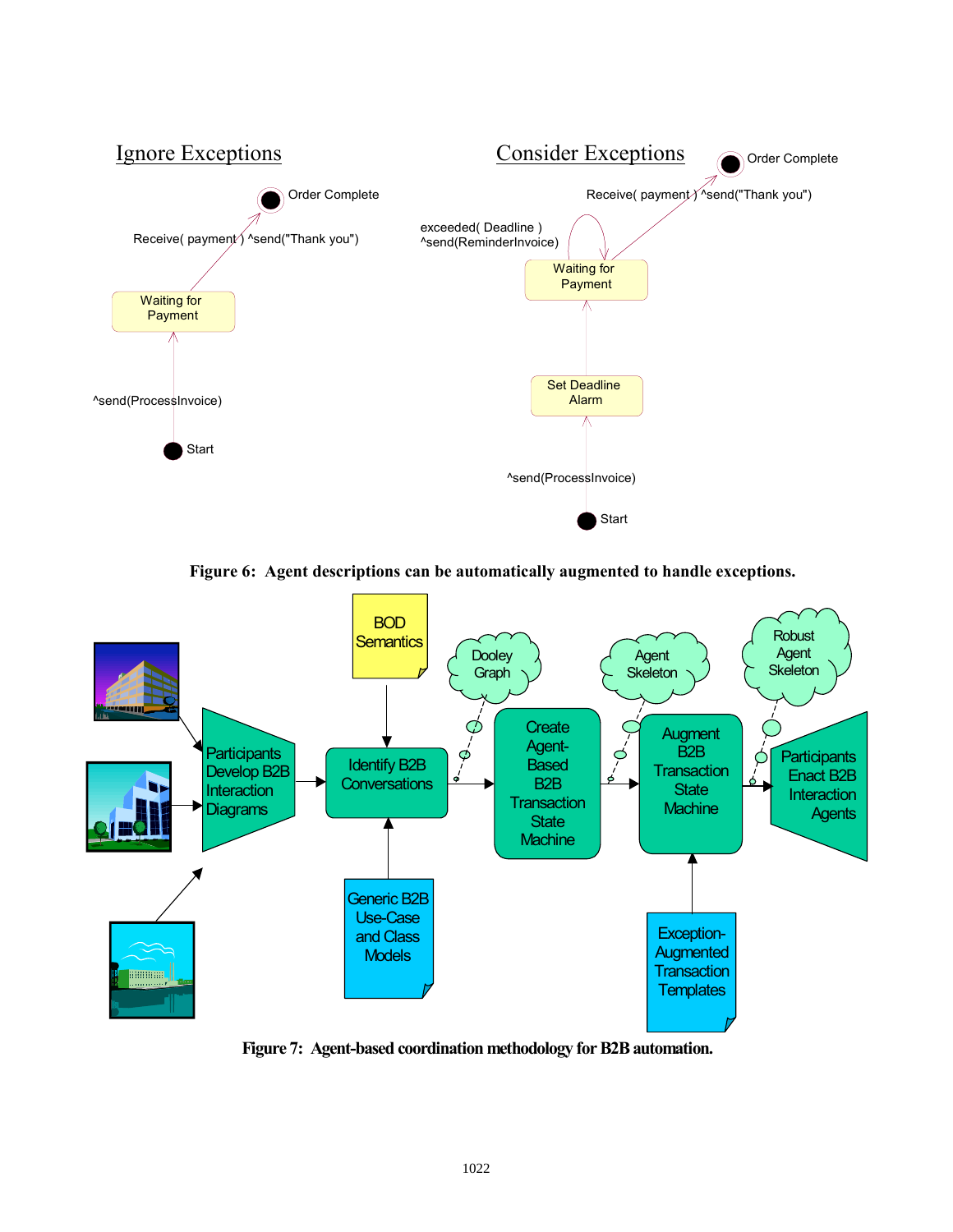

**Figure 6: Agent descriptions can be automatically augmented to handle exceptions.** 



**Figure 7: Agent-based coordination methodology for B2B automation.**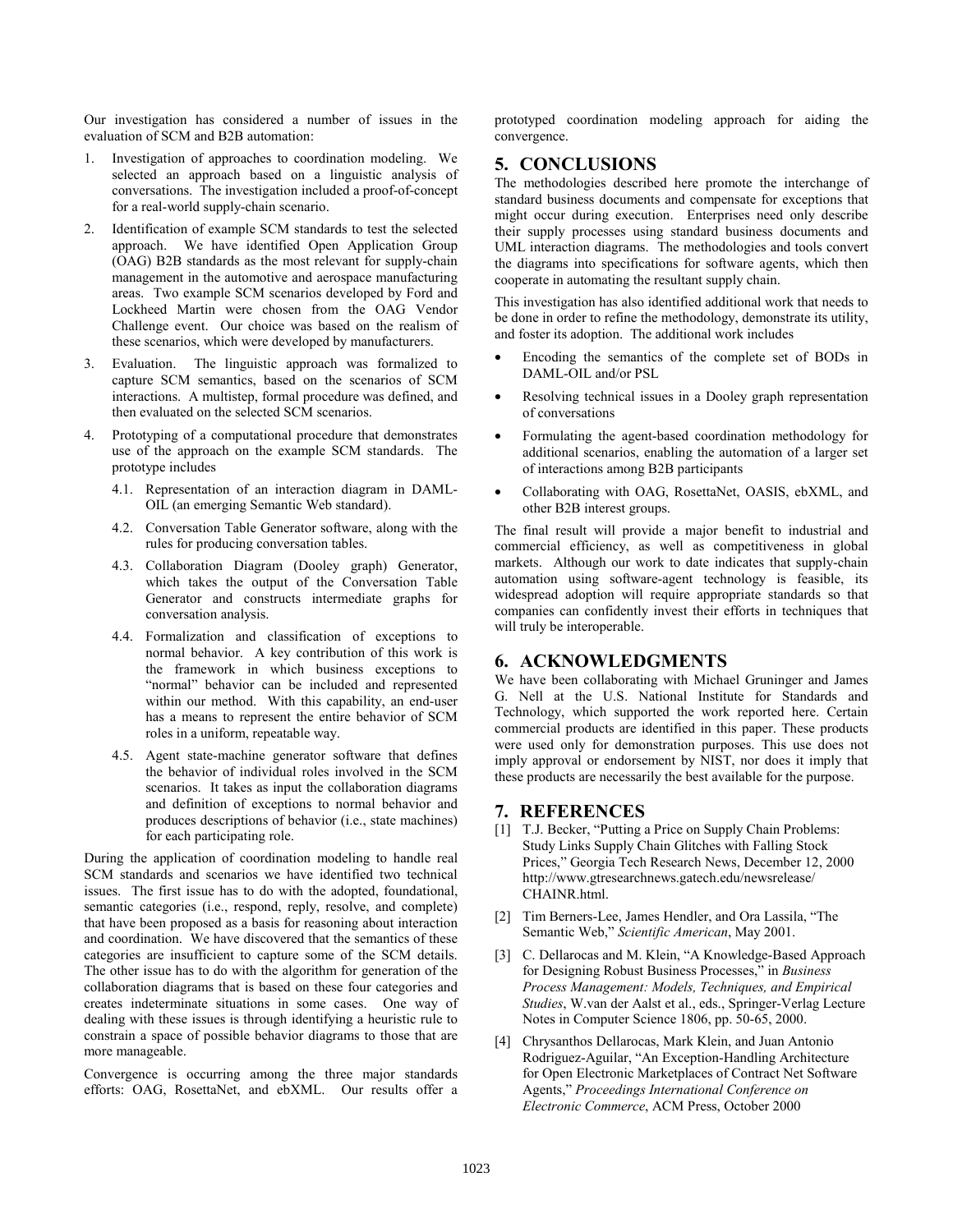Our investigation has considered a number of issues in the evaluation of SCM and B2B automation:

- 1. Investigation of approaches to coordination modeling. We selected an approach based on a linguistic analysis of conversations. The investigation included a proof-of-concept for a real-world supply-chain scenario.
- 2. Identification of example SCM standards to test the selected approach. We have identified Open Application Group (OAG) B2B standards as the most relevant for supply-chain management in the automotive and aerospace manufacturing areas. Two example SCM scenarios developed by Ford and Lockheed Martin were chosen from the OAG Vendor Challenge event. Our choice was based on the realism of these scenarios, which were developed by manufacturers.
- 3. Evaluation. The linguistic approach was formalized to capture SCM semantics, based on the scenarios of SCM interactions. A multistep, formal procedure was defined, and then evaluated on the selected SCM scenarios.
- 4. Prototyping of a computational procedure that demonstrates use of the approach on the example SCM standards. The prototype includes
	- 4.1. Representation of an interaction diagram in DAML-OIL (an emerging Semantic Web standard).
	- 4.2. Conversation Table Generator software, along with the rules for producing conversation tables.
	- 4.3. Collaboration Diagram (Dooley graph) Generator, which takes the output of the Conversation Table Generator and constructs intermediate graphs for conversation analysis.
	- 4.4. Formalization and classification of exceptions to normal behavior. A key contribution of this work is the framework in which business exceptions to "normal" behavior can be included and represented within our method. With this capability, an end-user has a means to represent the entire behavior of SCM roles in a uniform, repeatable way.
	- 4.5. Agent state-machine generator software that defines the behavior of individual roles involved in the SCM scenarios. It takes as input the collaboration diagrams and definition of exceptions to normal behavior and produces descriptions of behavior (i.e., state machines) for each participating role.

During the application of coordination modeling to handle real SCM standards and scenarios we have identified two technical issues. The first issue has to do with the adopted, foundational, semantic categories (i.e., respond, reply, resolve, and complete) that have been proposed as a basis for reasoning about interaction and coordination. We have discovered that the semantics of these categories are insufficient to capture some of the SCM details. The other issue has to do with the algorithm for generation of the collaboration diagrams that is based on these four categories and creates indeterminate situations in some cases. One way of dealing with these issues is through identifying a heuristic rule to constrain a space of possible behavior diagrams to those that are more manageable.

Convergence is occurring among the three major standards efforts: OAG, RosettaNet, and ebXML. Our results offer a

prototyped coordination modeling approach for aiding the convergence.

# **5. CONCLUSIONS**

The methodologies described here promote the interchange of standard business documents and compensate for exceptions that might occur during execution. Enterprises need only describe their supply processes using standard business documents and UML interaction diagrams. The methodologies and tools convert the diagrams into specifications for software agents, which then cooperate in automating the resultant supply chain.

This investigation has also identified additional work that needs to be done in order to refine the methodology, demonstrate its utility, and foster its adoption. The additional work includes

- Encoding the semantics of the complete set of BODs in DAML-OIL and/or PSL
- Resolving technical issues in a Dooley graph representation of conversations
- Formulating the agent-based coordination methodology for additional scenarios, enabling the automation of a larger set of interactions among B2B participants
- Collaborating with OAG, RosettaNet, OASIS, ebXML, and other B2B interest groups.

The final result will provide a major benefit to industrial and commercial efficiency, as well as competitiveness in global markets. Although our work to date indicates that supply-chain automation using software-agent technology is feasible, its widespread adoption will require appropriate standards so that companies can confidently invest their efforts in techniques that will truly be interoperable.

## **6. ACKNOWLEDGMENTS**

We have been collaborating with Michael Gruninger and James G. Nell at the U.S. National Institute for Standards and Technology, which supported the work reported here. Certain commercial products are identified in this paper. These products were used only for demonstration purposes. This use does not imply approval or endorsement by NIST, nor does it imply that these products are necessarily the best available for the purpose.

## **7. REFERENCES**

- [1] T.J. Becker, "Putting a Price on Supply Chain Problems: Study Links Supply Chain Glitches with Falling Stock Prices," Georgia Tech Research News, December 12, 2000 http://www.gtresearchnews.gatech.edu/newsrelease/ CHAINR.html.
- [2] Tim Berners-Lee, James Hendler, and Ora Lassila, "The Semantic Web," *Scientific American*, May 2001.
- [3] C. Dellarocas and M. Klein, "A Knowledge-Based Approach for Designing Robust Business Processes," in *Business Process Management: Models, Techniques, and Empirical Studies*, W.van der Aalst et al., eds., Springer-Verlag Lecture Notes in Computer Science 1806, pp. 50-65, 2000.
- [4] Chrysanthos Dellarocas, Mark Klein, and Juan Antonio Rodriguez-Aguilar, "An Exception-Handling Architecture for Open Electronic Marketplaces of Contract Net Software Agents," *Proceedings International Conference on Electronic Commerce*, ACM Press, October 2000